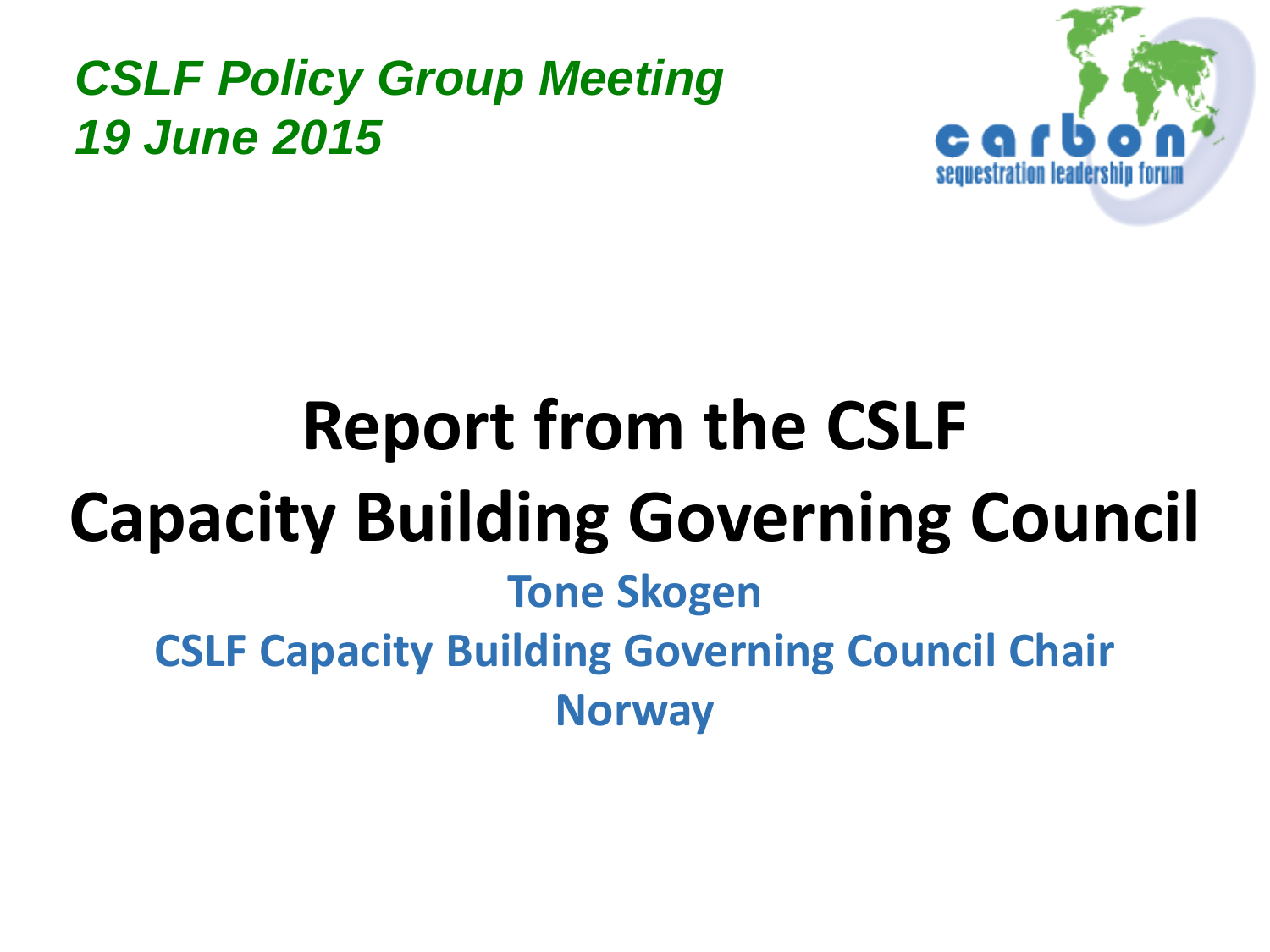#### *CSLF Policy Group Meeting 19 June 2015*



# **Report from the CSLF Capacity Building Governing Council Tone Skogen CSLF Capacity Building Governing Council Chair Norway**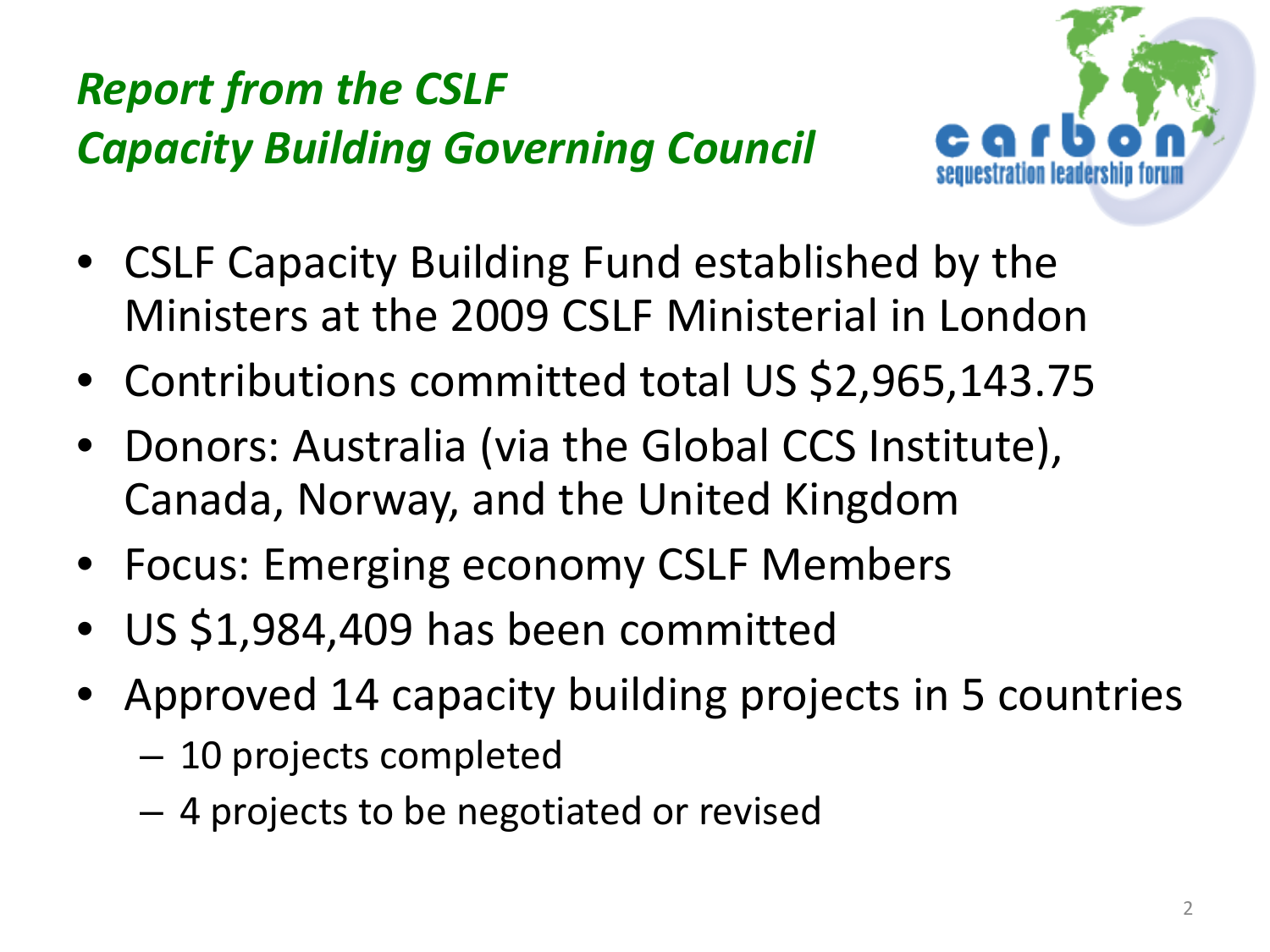

- CSLF Capacity Building Fund established by the Ministers at the 2009 CSLF Ministerial in London
- Contributions committed total US \$2,965,143.75
- Donors: Australia (via the Global CCS Institute), Canada, Norway, and the United Kingdom
- Focus: Emerging economy CSLF Members
- US \$1,984,409 has been committed
- Approved 14 capacity building projects in 5 countries
	- 10 projects completed
	- 4 projects to be negotiated or revised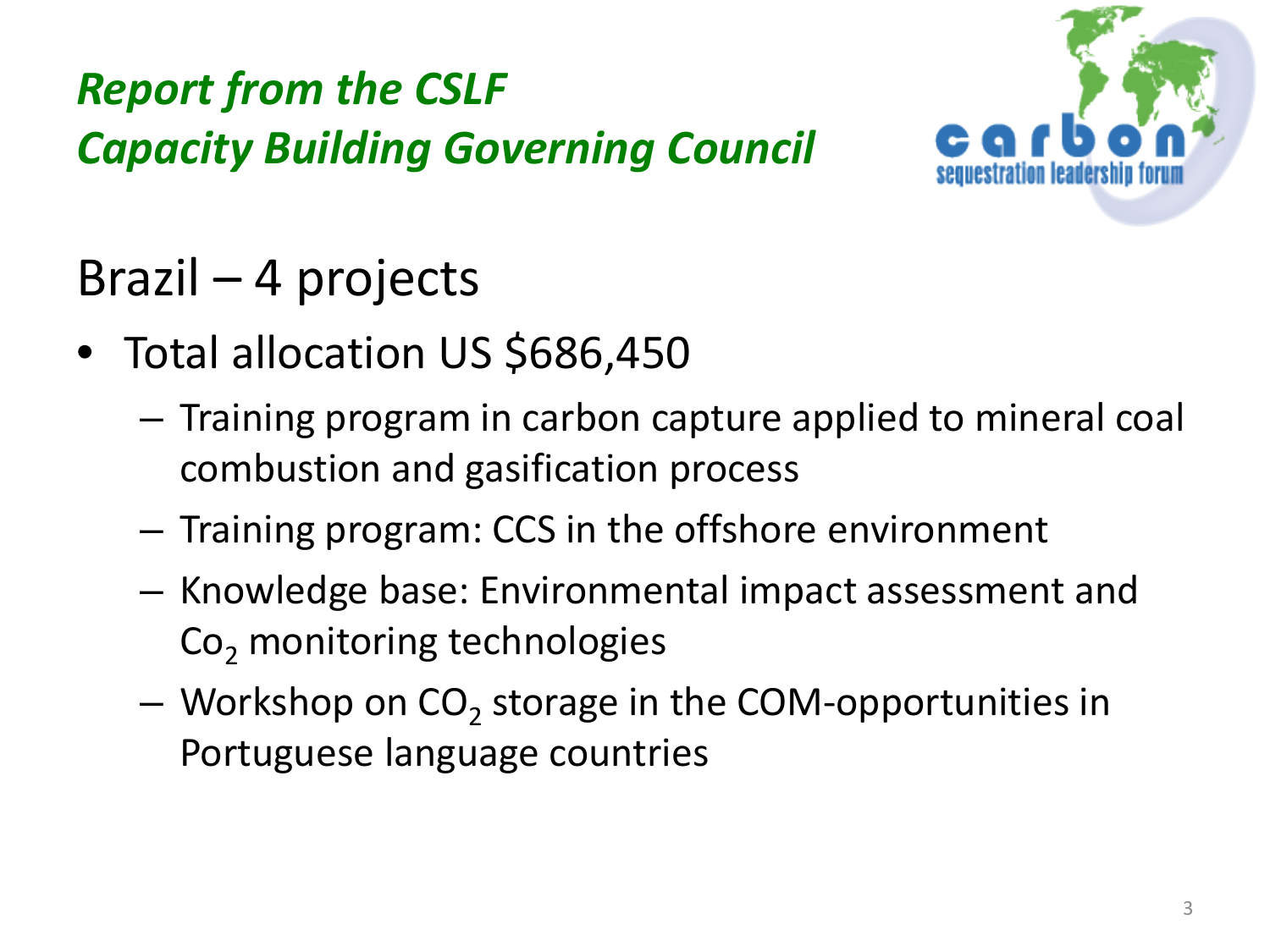

Brazil – 4 projects

- Total allocation US \$686,450
	- Training program in carbon capture applied to mineral coal combustion and gasification process
	- Training program: CCS in the offshore environment
	- Knowledge base: Environmental impact assessment and  $Co<sub>2</sub>$  monitoring technologies
	- $-$  Workshop on CO<sub>2</sub> storage in the COM-opportunities in Portuguese language countries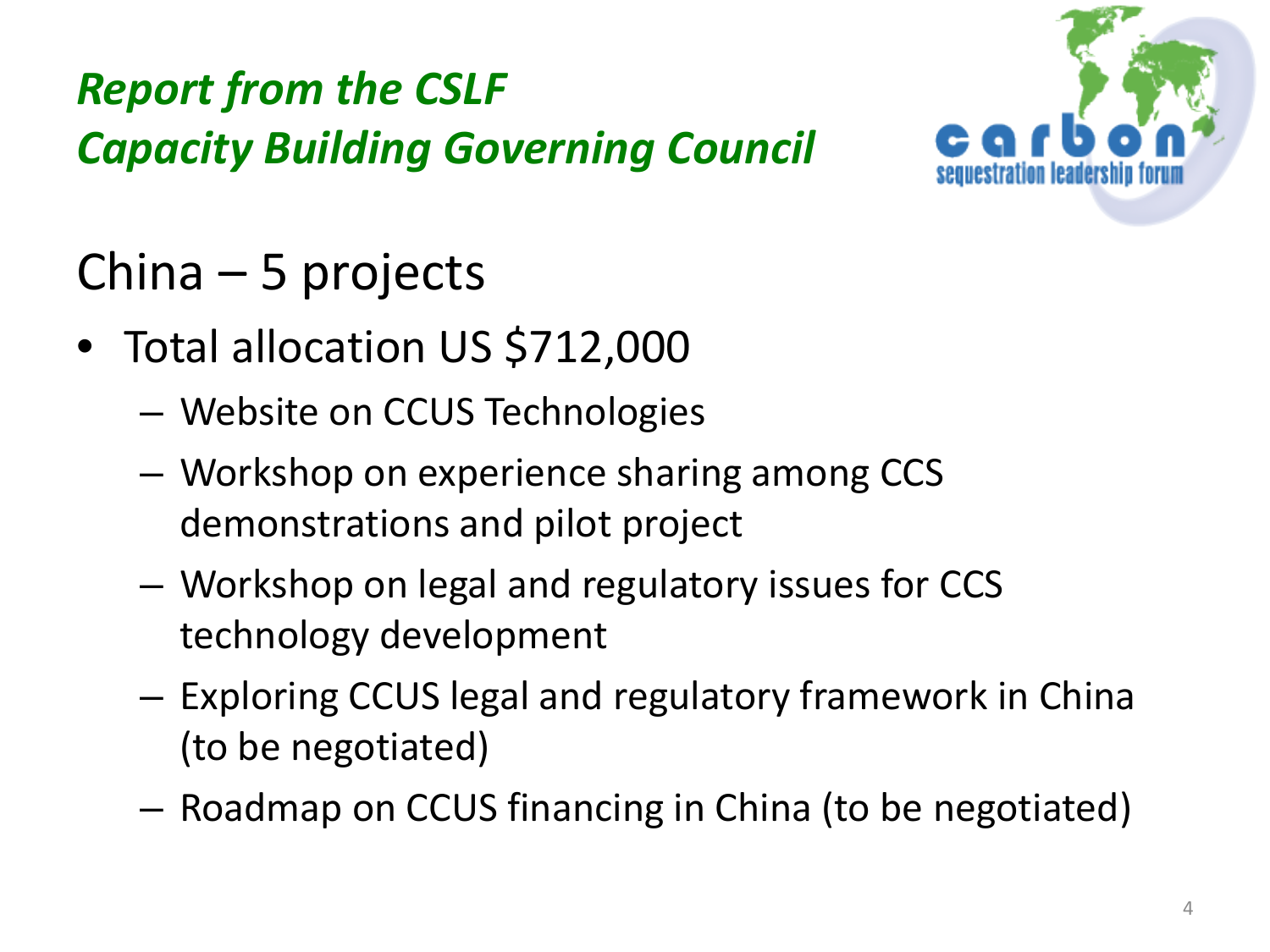

# China – 5 projects

- Total allocation US \$712,000
	- Website on CCUS Technologies
	- Workshop on experience sharing among CCS demonstrations and pilot project
	- Workshop on legal and regulatory issues for CCS technology development
	- Exploring CCUS legal and regulatory framework in China (to be negotiated)
	- Roadmap on CCUS financing in China (to be negotiated)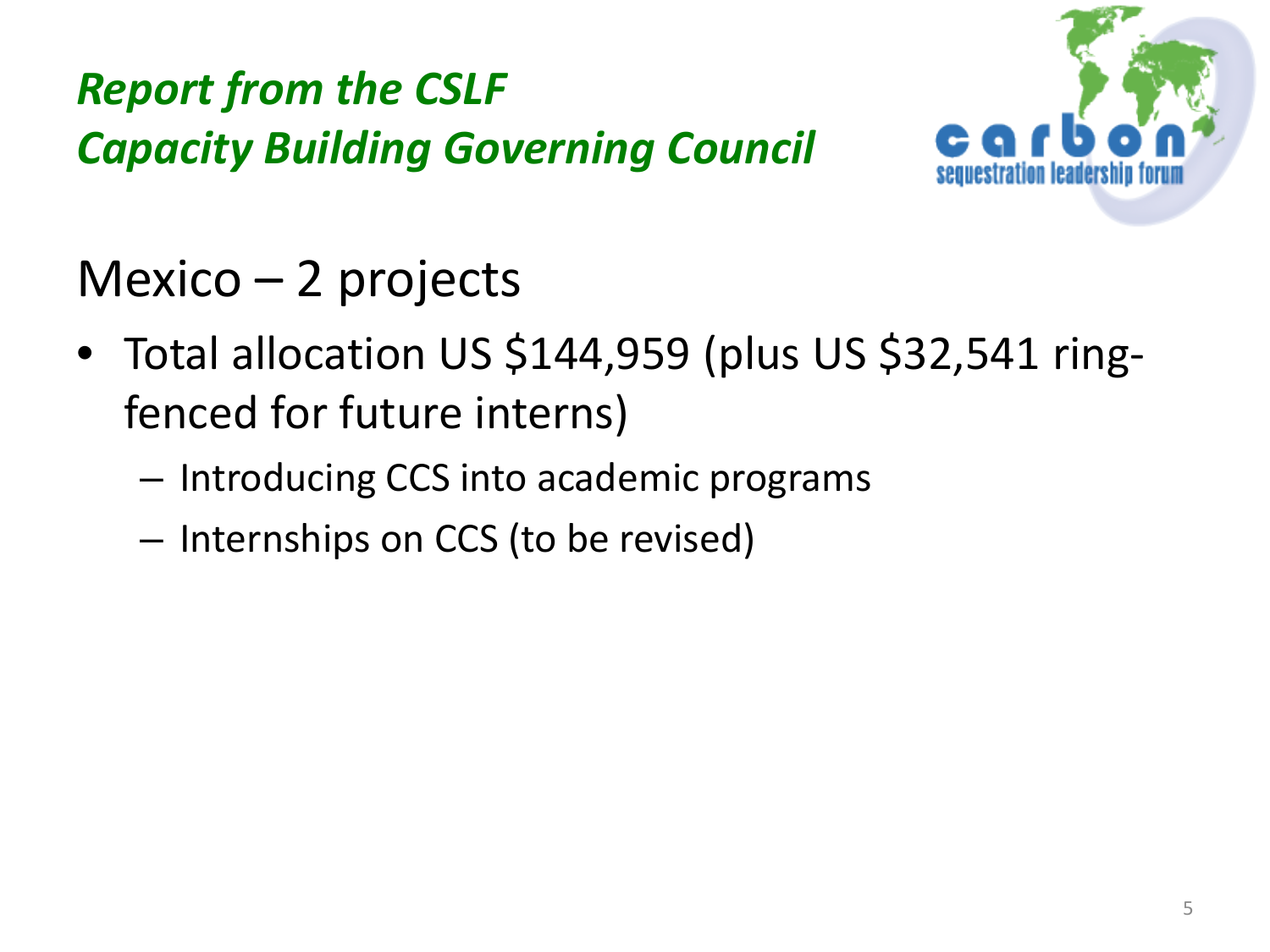

Mexico – 2 projects

- Total allocation US \$144,959 (plus US \$32,541 ringfenced for future interns)
	- Introducing CCS into academic programs
	- Internships on CCS (to be revised)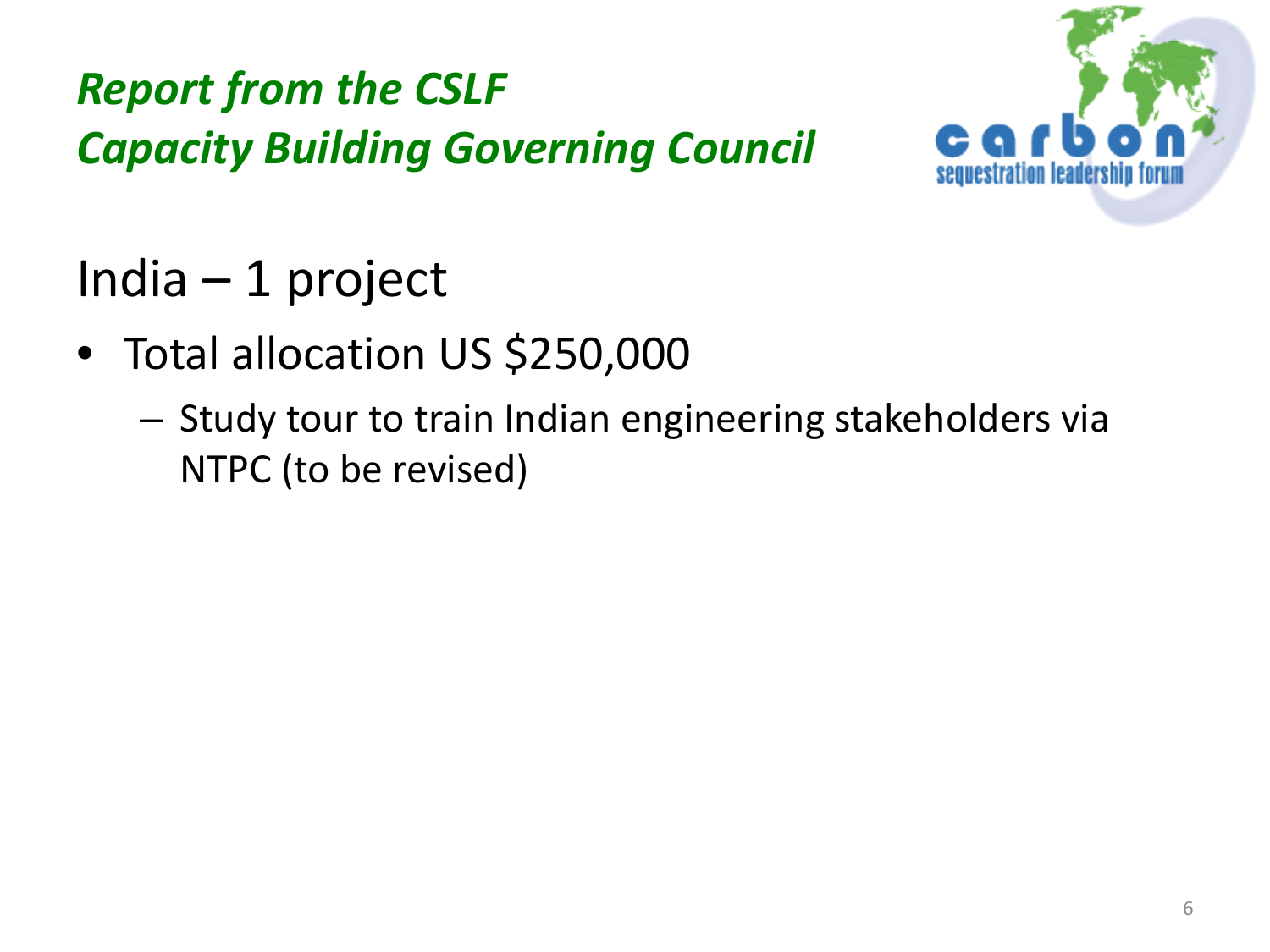

# India – 1 project

- Total allocation US \$250,000
	- Study tour to train Indian engineering stakeholders via NTPC (to be revised)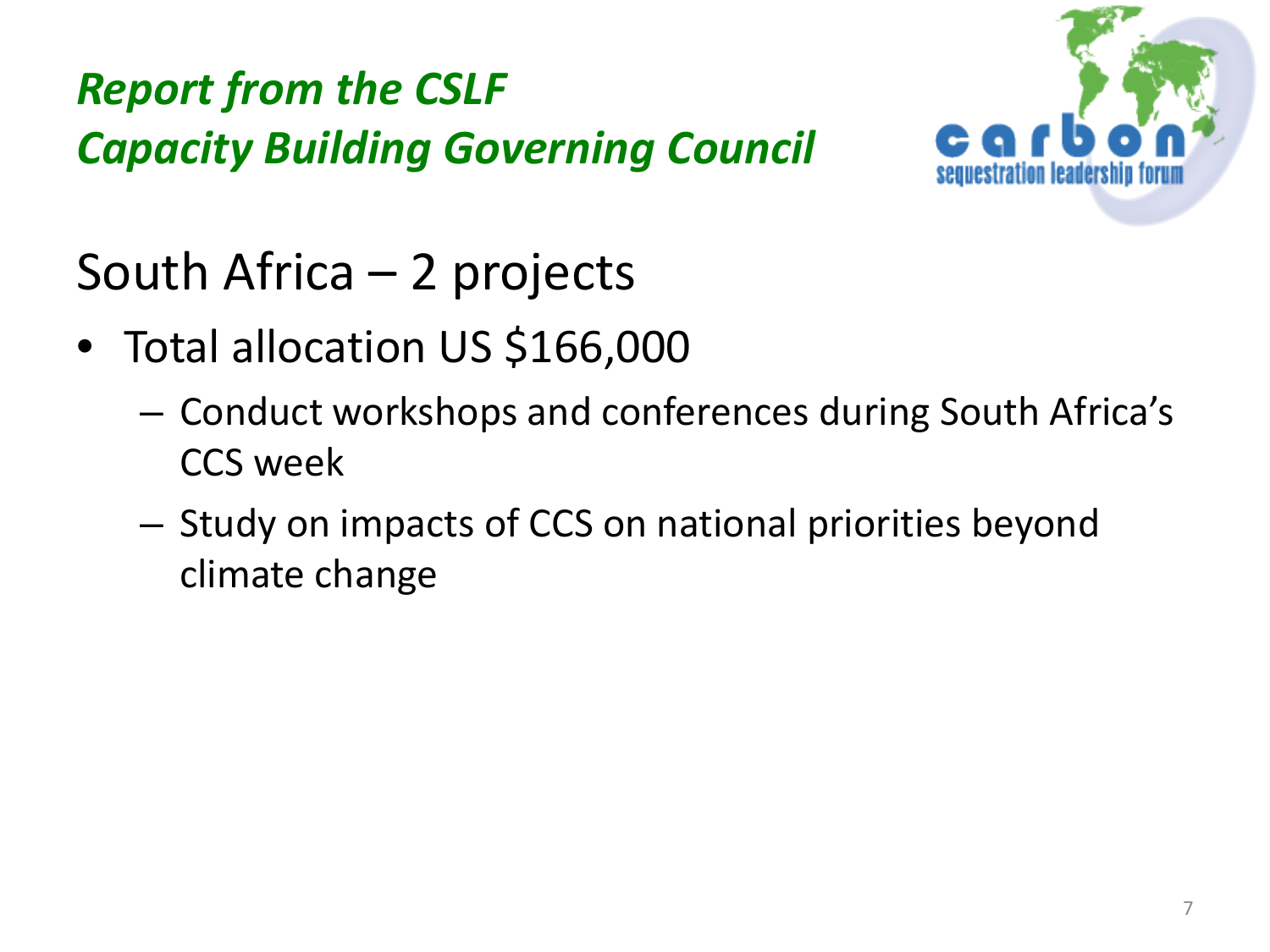

South Africa – 2 projects

- Total allocation US \$166,000
	- Conduct workshops and conferences during South Africa's CCS week
	- Study on impacts of CCS on national priorities beyond climate change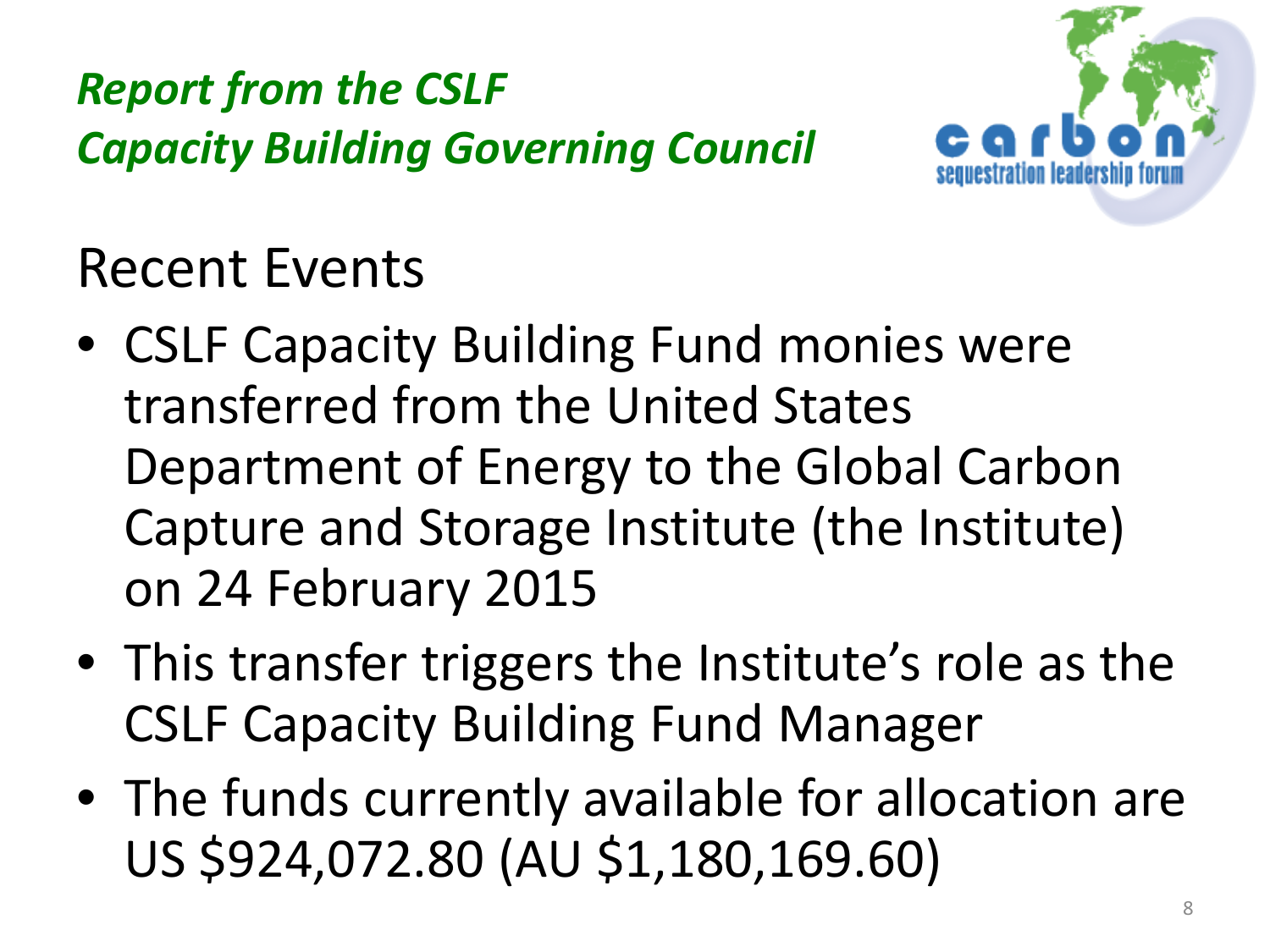

Recent Events

- CSLF Capacity Building Fund monies were transferred from the United States Department of Energy to the Global Carbon Capture and Storage Institute (the Institute) on 24 February 2015
- This transfer triggers the Institute's role as the CSLF Capacity Building Fund Manager
- The funds currently available for allocation are US \$924,072.80 (AU \$1,180,169.60)